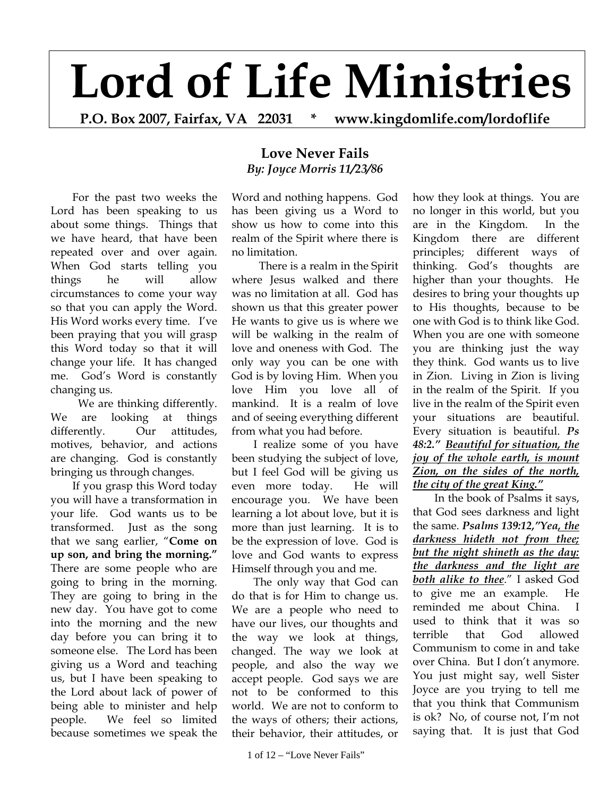## **Lord of Life Ministries**

**P.O. Box 2007, Fairfax, VA 22031 \* www.kingdomlife.com/lordoflife** 

For the past two weeks the Lord has been speaking to us about some things. Things that we have heard, that have been repeated over and over again. When God starts telling you things he will allow circumstances to come your way so that you can apply the Word. His Word works every time. I've been praying that you will grasp this Word today so that it will change your life. It has changed me. God's Word is constantly changing us.

 We are thinking differently. We are looking at things differently. Our attitudes, motives, behavior, and actions are changing. God is constantly bringing us through changes.

If you grasp this Word today you will have a transformation in your life. God wants us to be transformed. Just as the song that we sang earlier, "**Come on up son, and bring the morning."**  There are some people who are going to bring in the morning. They are going to bring in the new day. You have got to come into the morning and the new day before you can bring it to someone else. The Lord has been giving us a Word and teaching us, but I have been speaking to the Lord about lack of power of being able to minister and help people. We feel so limited because sometimes we speak the

## **Love Never Fails**  *By: Joyce Morris 11/23/86*

Word and nothing happens. God has been giving us a Word to show us how to come into this realm of the Spirit where there is no limitation.

 There is a realm in the Spirit where Jesus walked and there was no limitation at all. God has shown us that this greater power He wants to give us is where we will be walking in the realm of love and oneness with God. The only way you can be one with God is by loving Him. When you love Him you love all of mankind. It is a realm of love and of seeing everything different from what you had before.

I realize some of you have been studying the subject of love, but I feel God will be giving us even more today. He will encourage you. We have been learning a lot about love, but it is more than just learning. It is to be the expression of love. God is love and God wants to express Himself through you and me.

The only way that God can do that is for Him to change us. We are a people who need to have our lives, our thoughts and the way we look at things, changed. The way we look at people, and also the way we accept people. God says we are not to be conformed to this world. We are not to conform to the ways of others; their actions, their behavior, their attitudes, or

how they look at things. You are no longer in this world, but you are in the Kingdom. In the Kingdom there are different principles; different ways of thinking. God's thoughts are higher than your thoughts. He desires to bring your thoughts up to His thoughts, because to be one with God is to think like God. When you are one with someone you are thinking just the way they think. God wants us to live in Zion. Living in Zion is living in the realm of the Spirit. If you live in the realm of the Spirit even your situations are beautiful. Every situation is beautiful. *Ps 48:2." Beautiful for situation, the joy of the whole earth, is mount Zion, on the sides of the north, the city of the great King."*

In the book of Psalms it says, that God sees darkness and light the same. *Psalms 139:12,"Yea, the darkness hideth not from thee; but the night shineth as the day: the darkness and the light are both alike to thee*." I asked God to give me an example. He reminded me about China. I used to think that it was so terrible that God allowed Communism to come in and take over China. But I don't anymore. You just might say, well Sister Joyce are you trying to tell me that you think that Communism is ok? No, of course not, I'm not saying that. It is just that God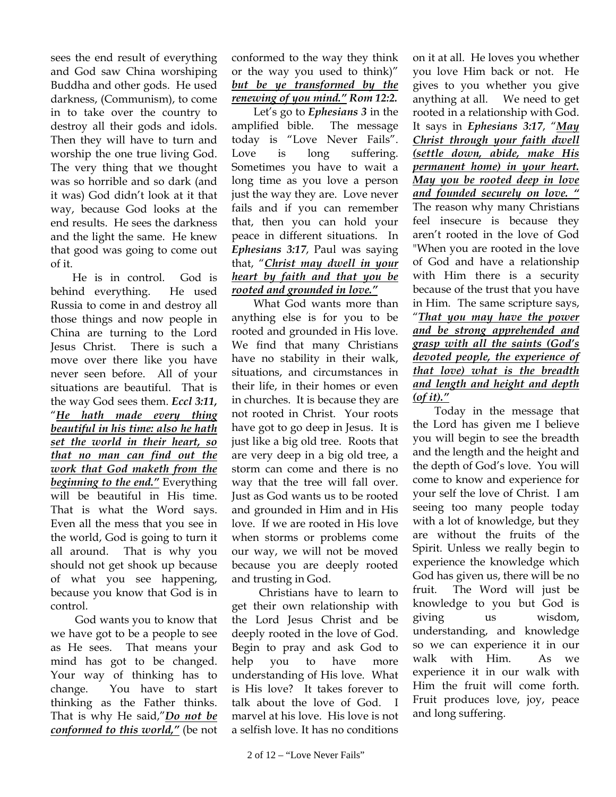sees the end result of everything and God saw China worshiping Buddha and other gods. He used darkness, (Communism), to come in to take over the country to destroy all their gods and idols. Then they will have to turn and worship the one true living God. The very thing that we thought was so horrible and so dark (and it was) God didn't look at it that way, because God looks at the end results. He sees the darkness and the light the same. He knew that good was going to come out of it.

He is in control. God is behind everything. He used Russia to come in and destroy all those things and now people in China are turning to the Lord Jesus Christ. There is such a move over there like you have never seen before. All of your situations are beautiful. That is the way God sees them. *Eccl 3:11,* "*He hath made every thing beautiful in his time: also he hath set the world in their heart, so that no man can find out the work that God maketh from the beginning to the end."* Everything will be beautiful in His time. That is what the Word says. Even all the mess that you see in the world, God is going to turn it all around. That is why you should not get shook up because of what you see happening, because you know that God is in control.

 God wants you to know that we have got to be a people to see as He sees. That means your mind has got to be changed. Your way of thinking has to change. You have to start thinking as the Father thinks. That is why He said,"*Do not be conformed to this world,"* (be not

conformed to the way they think or the way you used to think)" *but be ye transformed by the renewing of you mind." Rom 12:2.* 

Let's go to *Ephesians 3* in the amplified bible. The message today is "Love Never Fails". Love is long suffering. Sometimes you have to wait a long time as you love a person just the way they are. Love never fails and if you can remember that, then you can hold your peace in different situations. In *Ephesians 3:17*, Paul was saying that, "*Christ may dwell in your heart by faith and that you be rooted and grounded in love."* 

What God wants more than anything else is for you to be rooted and grounded in His love. We find that many Christians have no stability in their walk, situations, and circumstances in their life, in their homes or even in churches. It is because they are not rooted in Christ. Your roots have got to go deep in Jesus. It is just like a big old tree. Roots that are very deep in a big old tree, a storm can come and there is no way that the tree will fall over. Just as God wants us to be rooted and grounded in Him and in His love. If we are rooted in His love when storms or problems come our way, we will not be moved because you are deeply rooted and trusting in God.

 Christians have to learn to get their own relationship with the Lord Jesus Christ and be deeply rooted in the love of God. Begin to pray and ask God to help you to have more understanding of His love. What is His love? It takes forever to talk about the love of God. I marvel at his love. His love is not a selfish love. It has no conditions

you love Him back or not. He gives to you whether you give anything at all. We need to get rooted in a relationship with God. It says in *Ephesians 3:17*, "*May Christ through your faith dwell (settle down, abide, make His permanent home) in your heart. May you be rooted deep in love and founded securely on love. "* The reason why many Christians feel insecure is because they aren't rooted in the love of God "When you are rooted in the love of God and have a relationship with Him there is a security because of the trust that you have in Him. The same scripture says, "*That you may have the power and be strong apprehended and grasp with all the saints (God's devoted people, the experience of that love) what is the breadth and length and height and depth* 

on it at all. He loves you whether

## *(of it)."*

Today in the message that the Lord has given me I believe you will begin to see the breadth and the length and the height and the depth of God's love. You will come to know and experience for your self the love of Christ. I am seeing too many people today with a lot of knowledge, but they are without the fruits of the Spirit. Unless we really begin to experience the knowledge which God has given us, there will be no fruit. The Word will just be knowledge to you but God is giving us wisdom, understanding, and knowledge so we can experience it in our walk with Him. As we experience it in our walk with Him the fruit will come forth. Fruit produces love, joy, peace and long suffering.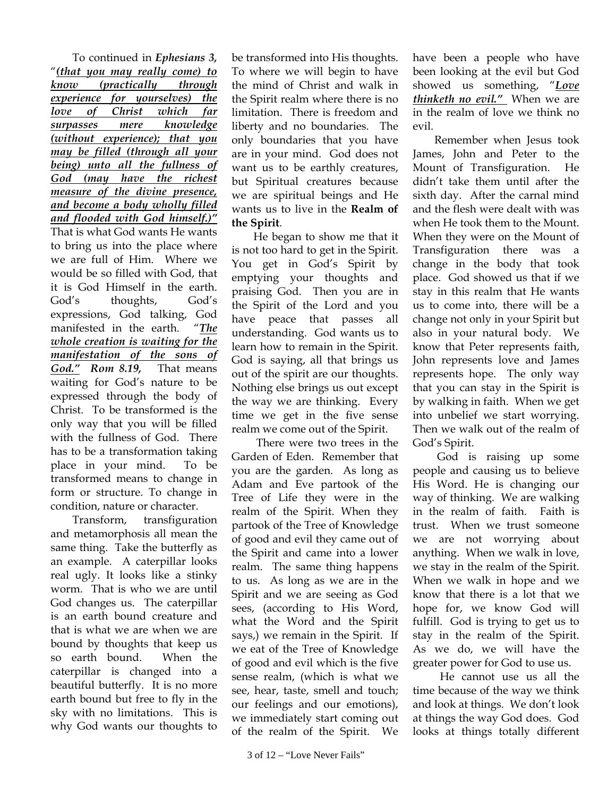To continued in *Ephesians 3,* "*(that you may really come) to know (practically through experience for yourselves) the love of Christ which far surpasses mere knowledge (without experience); that you may be filled (through all your being) unto all the fullness of God (may have the richest measure of the divine presence, and become a body wholly filled and flooded with God himself.)"* That is what God wants He wants to bring us into the place where we are full of Him. Where we would be so filled with God, that it is God Himself in the earth. God's thoughts, God's expressions, God talking, God manifested in the earth. "*The whole creation is waiting for the manifestation of the sons of God." Rom 8.19,* That means waiting for God's nature to be expressed through the body of Christ. To be transformed is the only way that you will be filled with the fullness of God. There has to be a transformation taking place in your mind. To be transformed means to change in form or structure. To change in condition, nature or character.

Transform, transfiguration and metamorphosis all mean the same thing. Take the butterfly as an example. A caterpillar looks real ugly. It looks like a stinky worm. That is who we are until God changes us. The caterpillar is an earth bound creature and that is what we are when we are bound by thoughts that keep us so earth bound. When the caterpillar is changed into a beautiful butterfly. It is no more earth bound but free to fly in the sky with no limitations. This is why God wants our thoughts to

be transformed into His thoughts. To where we will begin to have the mind of Christ and walk in the Spirit realm where there is no limitation. There is freedom and liberty and no boundaries. The only boundaries that you have are in your mind. God does not want us to be earthly creatures, but Spiritual creatures because we are spiritual beings and He wants us to live in the **Realm of the Spirit**.

He began to show me that it is not too hard to get in the Spirit. You get in God's Spirit by emptying your thoughts and praising God. Then you are in the Spirit of the Lord and you have peace that passes all understanding. God wants us to learn how to remain in the Spirit. God is saying, all that brings us out of the spirit are our thoughts. Nothing else brings us out except the way we are thinking. Every time we get in the five sense realm we come out of the Spirit.

 There were two trees in the Garden of Eden. Remember that you are the garden. As long as Adam and Eve partook of the Tree of Life they were in the realm of the Spirit. When they partook of the Tree of Knowledge of good and evil they came out of the Spirit and came into a lower realm. The same thing happens to us. As long as we are in the Spirit and we are seeing as God sees, (according to His Word, what the Word and the Spirit says,) we remain in the Spirit. If we eat of the Tree of Knowledge of good and evil which is the five sense realm, (which is what we see, hear, taste, smell and touch; our feelings and our emotions), we immediately start coming out of the realm of the Spirit. We

have been a people who have been looking at the evil but God showed us something, "*Love thinketh no evil."* When we are in the realm of love we think no evil.

Remember when Jesus took James, John and Peter to the Mount of Transfiguration. He didn't take them until after the sixth day. After the carnal mind and the flesh were dealt with was when He took them to the Mount. When they were on the Mount of Transfiguration there was a change in the body that took place. God showed us that if we stay in this realm that He wants us to come into, there will be a change not only in your Spirit but also in your natural body. We know that Peter represents faith, John represents love and James represents hope. The only way that you can stay in the Spirit is by walking in faith. When we get into unbelief we start worrying. Then we walk out of the realm of God's Spirit.

 God is raising up some people and causing us to believe His Word. He is changing our way of thinking. We are walking in the realm of faith. Faith is trust. When we trust someone we are not worrying about anything. When we walk in love, we stay in the realm of the Spirit. When we walk in hope and we know that there is a lot that we hope for, we know God will fulfill. God is trying to get us to stay in the realm of the Spirit. As we do, we will have the greater power for God to use us.

 He cannot use us all the time because of the way we think and look at things. We don't look at things the way God does. God looks at things totally different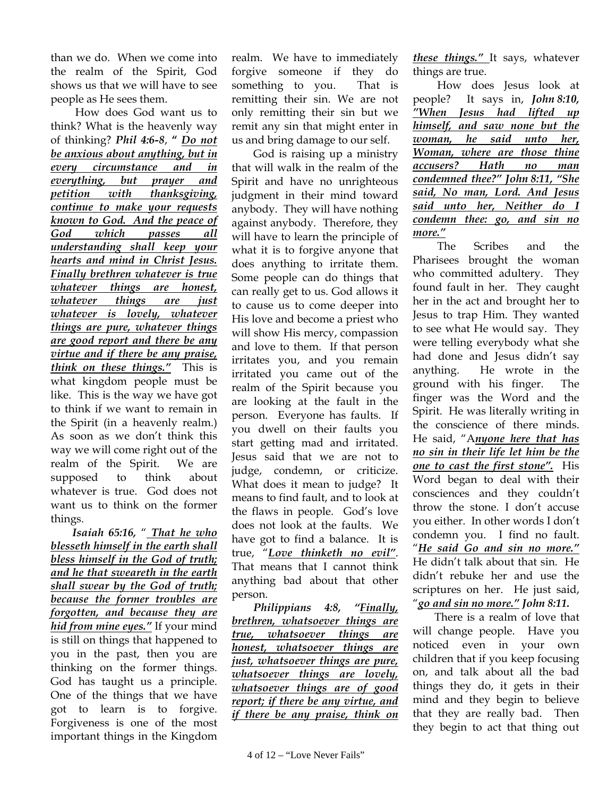than we do. When we come into the realm of the Spirit, God shows us that we will have to see people as He sees them.

 How does God want us to think? What is the heavenly way of thinking? *Phil 4:6-8*, **"** *Do not be anxious about anything, but in every circumstance and in everything, but prayer and petition with thanksgiving, continue to make your requests known to God. And the peace of God which passes all understanding shall keep your hearts and mind in Christ Jesus. Finally brethren whatever is true whatever things are honest, whatever things are just whatever is lovely, whatever things are pure, whatever things are good report and there be any virtue and if there be any praise, think on these things."* This is what kingdom people must be like. This is the way we have got to think if we want to remain in the Spirit (in a heavenly realm.) As soon as we don't think this way we will come right out of the realm of the Spirit. We are supposed to think about whatever is true. God does not want us to think on the former things.

*Isaiah 65:16,* " *That he who blesseth himself in the earth shall bless himself in the God of truth; and he that sweareth in the earth shall swear by the God of truth; because the former troubles are forgotten, and because they are hid from mine eyes."* If your mind is still on things that happened to you in the past, then you are thinking on the former things. God has taught us a principle. One of the things that we have got to learn is to forgive. Forgiveness is one of the most important things in the Kingdom

realm. We have to immediately forgive someone if they do something to you. That is remitting their sin. We are not only remitting their sin but we remit any sin that might enter in us and bring damage to our self.

God is raising up a ministry that will walk in the realm of the Spirit and have no unrighteous judgment in their mind toward anybody. They will have nothing against anybody. Therefore, they will have to learn the principle of what it is to forgive anyone that does anything to irritate them. Some people can do things that can really get to us. God allows it to cause us to come deeper into His love and become a priest who will show His mercy, compassion and love to them. If that person irritates you, and you remain irritated you came out of the realm of the Spirit because you are looking at the fault in the person. Everyone has faults. If you dwell on their faults you start getting mad and irritated. Jesus said that we are not to judge, condemn, or criticize. What does it mean to judge? It means to find fault, and to look at the flaws in people. God's love does not look at the faults. We have got to find a balance. It is true, "*Love thinketh no evil"*. That means that I cannot think anything bad about that other person.

*Philippians 4:8, "Finally, brethren, whatsoever things are true, whatsoever things are honest, whatsoever things are just, whatsoever things are pure, whatsoever things are lovely, whatsoever things are of good report; if there be any virtue, and if there be any praise, think on*  *these things."* It says, whatever things are true.

 How does Jesus look at people? It says in, *John 8:10, "When Jesus had lifted up himself, and saw none but the woman, he said unto her, Woman, where are those thine accusers? Hath no man condemned thee?" John 8:11, "She said, No man, Lord. And Jesus said unto her, Neither do I condemn thee: go, and sin no more."*

 The Scribes and the Pharisees brought the woman who committed adultery. They found fault in her. They caught her in the act and brought her to Jesus to trap Him. They wanted to see what He would say. They were telling everybody what she had done and Jesus didn't say anything. He wrote in the ground with his finger. The finger was the Word and the Spirit. He was literally writing in the conscience of there minds. He said, "A*nyone here that has no sin in their life let him be the one to cast the first stone".* His Word began to deal with their consciences and they couldn't throw the stone. I don't accuse you either. In other words I don't condemn you. I find no fault. "*He said Go and sin no more."* He didn't talk about that sin. He didn't rebuke her and use the scriptures on her. He just said, "*go and sin no more." John 8:11.* 

There is a realm of love that will change people. Have you noticed even in your own children that if you keep focusing on, and talk about all the bad things they do, it gets in their mind and they begin to believe that they are really bad. Then they begin to act that thing out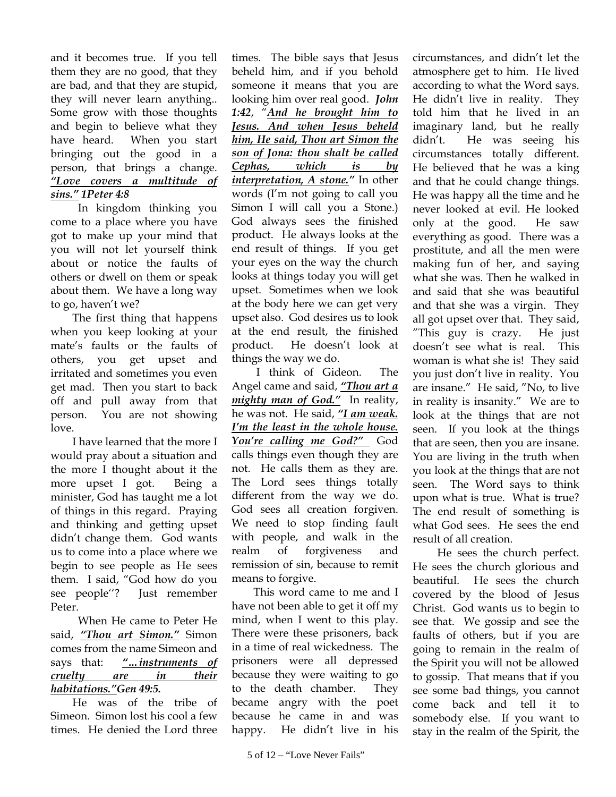and it becomes true. If you tell them they are no good, that they are bad, and that they are stupid, they will never learn anything.. Some grow with those thoughts and begin to believe what they have heard. When you start bringing out the good in a person, that brings a change. *"Love covers a multitude of sins." 1Peter 4:8* 

 In kingdom thinking you come to a place where you have got to make up your mind that you will not let yourself think about or notice the faults of others or dwell on them or speak about them. We have a long way to go, haven't we?

The first thing that happens when you keep looking at your mate's faults or the faults of others, you get upset and irritated and sometimes you even get mad. Then you start to back off and pull away from that person. You are not showing love.

I have learned that the more I would pray about a situation and the more I thought about it the more upset I got. Being a minister, God has taught me a lot of things in this regard. Praying and thinking and getting upset didn't change them. God wants us to come into a place where we begin to see people as He sees them. I said, "God how do you see people''? Just remember Peter.

 When He came to Peter He said, *"Thou art Simon."* Simon comes from the name Simeon and says that: *"…instruments of cruelty are in their habitations."Gen 49:5.*

He was of the tribe of Simeon. Simon lost his cool a few times. He denied the Lord three

times. The bible says that Jesus beheld him, and if you behold someone it means that you are looking him over real good. *John 1:42*, "*And he brought him to Jesus. And when Jesus beheld him, He said, Thou art Simon the son of Jona: thou shalt be called Cephas, which is by interpretation, A stone."* In other words (I'm not going to call you Simon I will call you a Stone.) God always sees the finished product. He always looks at the end result of things. If you get your eyes on the way the church looks at things today you will get upset. Sometimes when we look at the body here we can get very upset also. God desires us to look at the end result, the finished product. He doesn't look at things the way we do.

 I think of Gideon. The Angel came and said, *"Thou art a mighty man of God."* In reality, he was not. He said, *"I am weak. I'm the least in the whole house.*  You're calling me God?" God calls things even though they are not. He calls them as they are. The Lord sees things totally different from the way we do. God sees all creation forgiven. We need to stop finding fault with people, and walk in the realm of forgiveness and remission of sin, because to remit means to forgive.

This word came to me and I have not been able to get it off my mind, when I went to this play. There were these prisoners, back in a time of real wickedness. The prisoners were all depressed because they were waiting to go to the death chamber. They became angry with the poet because he came in and was happy. He didn't live in his

circumstances, and didn't let the atmosphere get to him. He lived according to what the Word says. He didn't live in reality. They told him that he lived in an imaginary land, but he really didn't. He was seeing his circumstances totally different. He believed that he was a king and that he could change things. He was happy all the time and he never looked at evil. He looked only at the good. He saw everything as good. There was a prostitute, and all the men were making fun of her, and saying what she was. Then he walked in and said that she was beautiful and that she was a virgin. They all got upset over that. They said, "This guy is crazy. He just doesn't see what is real. This woman is what she is! They said you just don't live in reality. You are insane." He said, "No, to live in reality is insanity." We are to look at the things that are not seen. If you look at the things that are seen, then you are insane. You are living in the truth when you look at the things that are not seen. The Word says to think upon what is true. What is true? The end result of something is what God sees. He sees the end result of all creation.

 He sees the church perfect. He sees the church glorious and beautiful. He sees the church covered by the blood of Jesus Christ. God wants us to begin to see that. We gossip and see the faults of others, but if you are going to remain in the realm of the Spirit you will not be allowed to gossip. That means that if you see some bad things, you cannot come back and tell it to somebody else. If you want to stay in the realm of the Spirit, the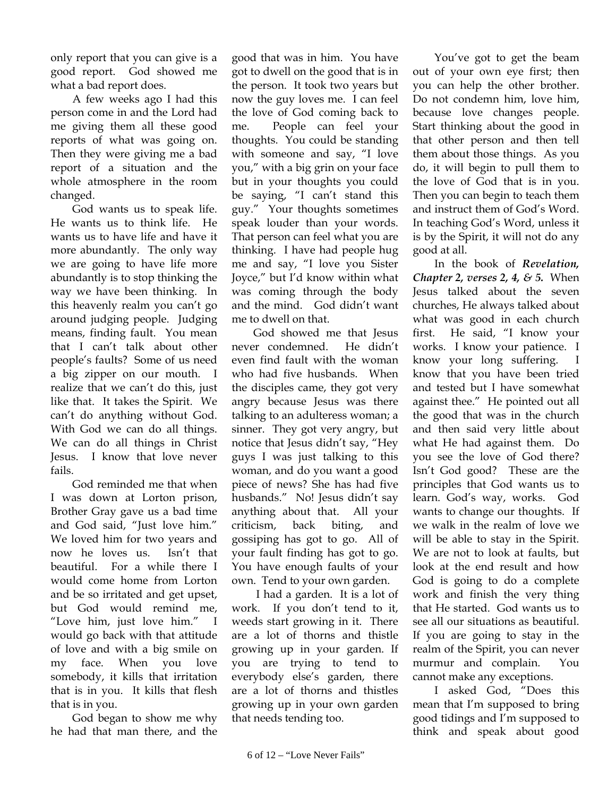only report that you can give is a good report. God showed me what a bad report does.

A few weeks ago I had this person come in and the Lord had me giving them all these good reports of what was going on. Then they were giving me a bad report of a situation and the whole atmosphere in the room changed.

God wants us to speak life. He wants us to think life. He wants us to have life and have it more abundantly. The only way we are going to have life more abundantly is to stop thinking the way we have been thinking. In this heavenly realm you can't go around judging people. Judging means, finding fault. You mean that I can't talk about other people's faults? Some of us need a big zipper on our mouth. I realize that we can't do this, just like that. It takes the Spirit. We can't do anything without God. With God we can do all things. We can do all things in Christ Jesus. I know that love never fails.

God reminded me that when I was down at Lorton prison, Brother Gray gave us a bad time and God said, "Just love him." We loved him for two years and now he loves us. Isn't that beautiful. For a while there I would come home from Lorton and be so irritated and get upset, but God would remind me, "Love him, just love him." I would go back with that attitude of love and with a big smile on my face. When you love somebody, it kills that irritation that is in you. It kills that flesh that is in you.

God began to show me why he had that man there, and the

good that was in him. You have got to dwell on the good that is in the person. It took two years but now the guy loves me. I can feel the love of God coming back to me. People can feel your thoughts. You could be standing with someone and say, "I love you," with a big grin on your face but in your thoughts you could be saying, "I can't stand this guy." Your thoughts sometimes speak louder than your words. That person can feel what you are thinking. I have had people hug me and say, "I love you Sister Joyce," but I'd know within what was coming through the body and the mind. God didn't want me to dwell on that.

God showed me that Jesus never condemned. He didn't even find fault with the woman who had five husbands. When the disciples came, they got very angry because Jesus was there talking to an adulteress woman; a sinner. They got very angry, but notice that Jesus didn't say, "Hey guys I was just talking to this woman, and do you want a good piece of news? She has had five husbands." No! Jesus didn't say anything about that. All your criticism, back biting, and gossiping has got to go. All of your fault finding has got to go. You have enough faults of your own. Tend to your own garden.

 I had a garden. It is a lot of work. If you don't tend to it, weeds start growing in it. There are a lot of thorns and thistle growing up in your garden. If you are trying to tend to everybody else's garden, there are a lot of thorns and thistles growing up in your own garden that needs tending too.

You've got to get the beam out of your own eye first; then you can help the other brother. Do not condemn him, love him, because love changes people. Start thinking about the good in that other person and then tell them about those things. As you do, it will begin to pull them to the love of God that is in you. Then you can begin to teach them and instruct them of God's Word. In teaching God's Word, unless it is by the Spirit, it will not do any good at all.

In the book of *Revelation, Chapter 2, verses 2, 4, & 5.* When Jesus talked about the seven churches, He always talked about what was good in each church first. He said, "I know your works. I know your patience. I know your long suffering. I know that you have been tried and tested but I have somewhat against thee." He pointed out all the good that was in the church and then said very little about what He had against them. Do you see the love of God there? Isn't God good? These are the principles that God wants us to learn. God's way, works. God wants to change our thoughts. If we walk in the realm of love we will be able to stay in the Spirit. We are not to look at faults, but look at the end result and how God is going to do a complete work and finish the very thing that He started. God wants us to see all our situations as beautiful. If you are going to stay in the realm of the Spirit, you can never murmur and complain. You cannot make any exceptions.

I asked God, "Does this mean that I'm supposed to bring good tidings and I'm supposed to think and speak about good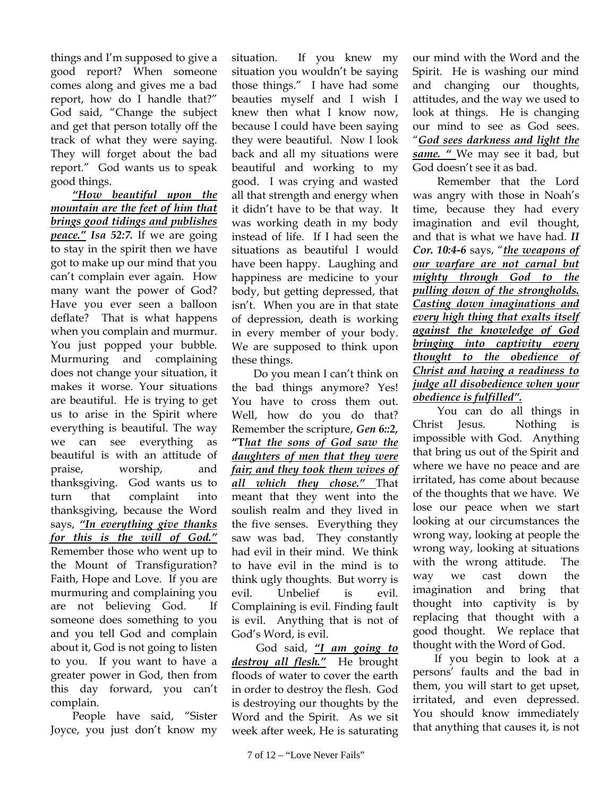things and I'm supposed to give a good report? When someone comes along and gives me a bad report, how do I handle that?" God said, "Change the subject and get that person totally off the track of what they were saying. They will forget about the bad report." God wants us to speak good things.

*"How beautiful upon the mountain are the feet of him that brings good tidings and publishes peace." Isa 52:7.* If we are going to stay in the spirit then we have got to make up our mind that you can't complain ever again. How many want the power of God? Have you ever seen a balloon deflate? That is what happens when you complain and murmur. You just popped your bubble. Murmuring and complaining does not change your situation, it makes it worse. Your situations are beautiful. He is trying to get us to arise in the Spirit where everything is beautiful. The way we can see everything as beautiful is with an attitude of praise, worship, and thanksgiving. God wants us to turn that complaint into thanksgiving, because the Word says, *"In everything give thanks for this is the will of God."* Remember those who went up to the Mount of Transfiguration? Faith, Hope and Love. If you are murmuring and complaining you are not believing God. If someone does something to you and you tell God and complain about it, God is not going to listen to you. If you want to have a greater power in God, then from this day forward, you can't complain.

People have said, "Sister Joyce, you just don't know my

situation. If you knew my situation you wouldn't be saying those things." I have had some beauties myself and I wish I knew then what I know now, because I could have been saying they were beautiful. Now I look back and all my situations were beautiful and working to my good. I was crying and wasted all that strength and energy when it didn't have to be that way. It was working death in my body instead of life. If I had seen the situations as beautiful I would have been happy. Laughing and happiness are medicine to your body, but getting depressed, that isn't. When you are in that state of depression, death is working in every member of your body. We are supposed to think upon these things.

Do you mean I can't think on the bad things anymore? Yes! You have to cross them out. Well, how do you do that? Remember the scripture, *Gen 6::2,* **"T***hat the sons of God saw the daughters of men that they were fair; and they took them wives of all which they chose."* That meant that they went into the soulish realm and they lived in the five senses. Everything they saw was bad. They constantly had evil in their mind. We think to have evil in the mind is to think ugly thoughts. But worry is evil. Unbelief is evil. Complaining is evil. Finding fault is evil. Anything that is not of God's Word, is evil.

 God said, *"I am going to destroy all flesh."* He brought floods of water to cover the earth in order to destroy the flesh. God is destroying our thoughts by the Word and the Spirit. As we sit week after week, He is saturating

our mind with the Word and the Spirit. He is washing our mind and changing our thoughts, attitudes, and the way we used to look at things. He is changing our mind to see as God sees. "*God sees darkness and light the same. "* We may see it bad, but God doesn't see it as bad.

 Remember that the Lord was angry with those in Noah's time, because they had every imagination and evil thought, and that is what we have had. *II Cor. 10:4-6* says, "*the weapons of our warfare are not carnal but mighty through God to the pulling down of the strongholds. Casting down imaginations and every high thing that exalts itself against the knowledge of God bringing into captivity every thought to the obedience of Christ and having a readiness to judge all disobedience when your obedience is fulfilled".*

 You can do all things in Christ Jesus. Nothing is impossible with God. Anything that bring us out of the Spirit and where we have no peace and are irritated, has come about because of the thoughts that we have. We lose our peace when we start looking at our circumstances the wrong way, looking at people the wrong way, looking at situations with the wrong attitude. The way we cast down the imagination and bring that thought into captivity is by replacing that thought with a good thought. We replace that thought with the Word of God.

If you begin to look at a persons' faults and the bad in them, you will start to get upset, irritated, and even depressed. You should know immediately that anything that causes it, is not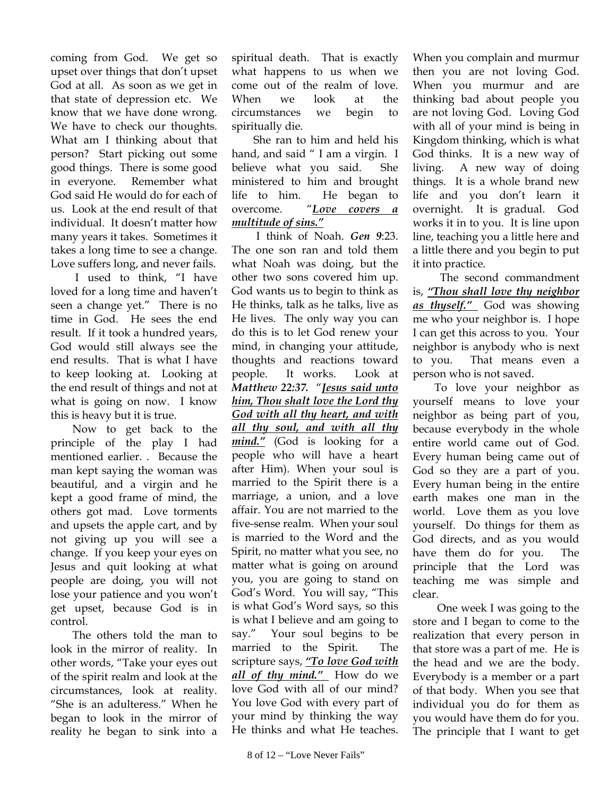coming from God. We get so upset over things that don't upset God at all. As soon as we get in that state of depression etc. We know that we have done wrong. We have to check our thoughts. What am I thinking about that person? Start picking out some good things. There is some good in everyone. Remember what God said He would do for each of us. Look at the end result of that individual. It doesn't matter how many years it takes. Sometimes it takes a long time to see a change. Love suffers long, and never fails.

 I used to think, "I have loved for a long time and haven't seen a change yet." There is no time in God. He sees the end result. If it took a hundred years, God would still always see the end results. That is what I have to keep looking at. Looking at the end result of things and not at what is going on now. I know this is heavy but it is true.

Now to get back to the principle of the play I had mentioned earlier. . Because the man kept saying the woman was beautiful, and a virgin and he kept a good frame of mind, the others got mad. Love torments and upsets the apple cart, and by not giving up you will see a change. If you keep your eyes on Jesus and quit looking at what people are doing, you will not lose your patience and you won't get upset, because God is in control.

The others told the man to look in the mirror of reality. In other words, "Take your eyes out of the spirit realm and look at the circumstances, look at reality. "She is an adulteress." When he began to look in the mirror of reality he began to sink into a

spiritual death. That is exactly what happens to us when we come out of the realm of love. When we look at the circumstances we begin to spiritually die.

She ran to him and held his hand, and said " I am a virgin. I believe what you said. She ministered to him and brought life to him. He began to overcome. "*Love covers a multitude of sins."* 

 I think of Noah. *Gen 9*:23. The one son ran and told them what Noah was doing, but the other two sons covered him up. God wants us to begin to think as He thinks, talk as he talks, live as He lives. The only way you can do this is to let God renew your mind, in changing your attitude, thoughts and reactions toward people. It works. Look at *Matthew 22:37.* "*Jesus said unto him, Thou shalt love the Lord thy God with all thy heart, and with all thy soul, and with all thy mind."* (God is looking for a people who will have a heart after Him). When your soul is married to the Spirit there is a marriage, a union, and a love affair. You are not married to the five-sense realm. When your soul is married to the Word and the Spirit, no matter what you see, no matter what is going on around you, you are going to stand on God's Word. You will say, "This is what God's Word says, so this is what I believe and am going to say." Your soul begins to be married to the Spirit. The scripture says, *"To love God with all of thy mind."* How do we love God with all of our mind? You love God with every part of your mind by thinking the way He thinks and what He teaches.

When you complain and murmur then you are not loving God. When you murmur and are thinking bad about people you are not loving God. Loving God with all of your mind is being in Kingdom thinking, which is what God thinks. It is a new way of living. A new way of doing things. It is a whole brand new life and you don't learn it overnight. It is gradual. God works it in to you. It is line upon line, teaching you a little here and a little there and you begin to put it into practice.

 The second commandment is, *"Thou shall love thy neighbor as thyself."* God was showing me who your neighbor is. I hope I can get this across to you. Your neighbor is anybody who is next to you. That means even a person who is not saved.

To love your neighbor as yourself means to love your neighbor as being part of you, because everybody in the whole entire world came out of God. Every human being came out of God so they are a part of you. Every human being in the entire earth makes one man in the world. Love them as you love yourself. Do things for them as God directs, and as you would have them do for you. The principle that the Lord was teaching me was simple and clear.

 One week I was going to the store and I began to come to the realization that every person in that store was a part of me. He is the head and we are the body. Everybody is a member or a part of that body. When you see that individual you do for them as you would have them do for you. The principle that I want to get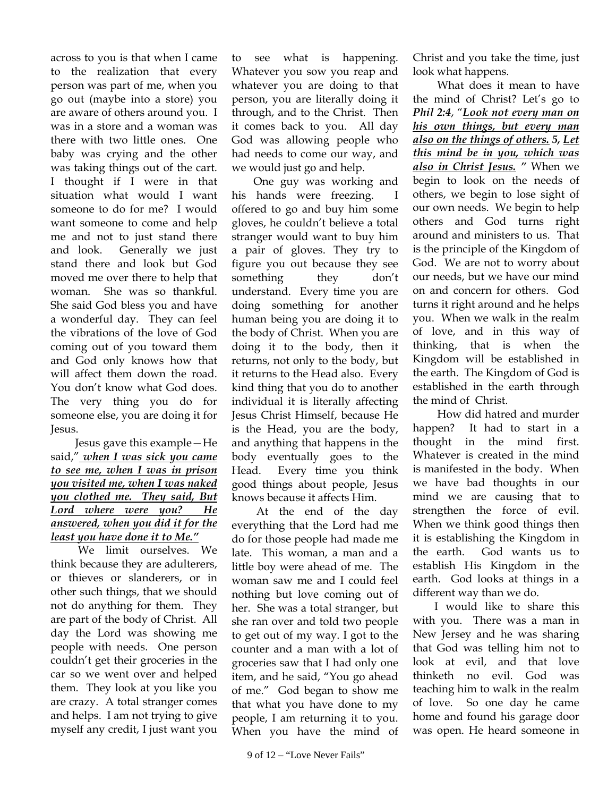across to you is that when I came to the realization that every person was part of me, when you go out (maybe into a store) you are aware of others around you. I was in a store and a woman was there with two little ones. One baby was crying and the other was taking things out of the cart. I thought if I were in that situation what would I want someone to do for me? I would want someone to come and help me and not to just stand there and look. Generally we just stand there and look but God moved me over there to help that woman. She was so thankful. She said God bless you and have a wonderful day. They can feel the vibrations of the love of God coming out of you toward them and God only knows how that will affect them down the road. You don't know what God does. The very thing you do for someone else, you are doing it for Jesus.

 Jesus gave this example—He said," *when I was sick you came to see me, when I was in prison you visited me, when I was naked you clothed me. They said, But Lord where were you? He answered, when you did it for the least you have done it to Me."*

 We limit ourselves. We think because they are adulterers, or thieves or slanderers, or in other such things, that we should not do anything for them. They are part of the body of Christ. All day the Lord was showing me people with needs. One person couldn't get their groceries in the car so we went over and helped them. They look at you like you are crazy. A total stranger comes and helps. I am not trying to give myself any credit, I just want you

to see what is happening. Whatever you sow you reap and whatever you are doing to that person, you are literally doing it through, and to the Christ. Then it comes back to you. All day God was allowing people who had needs to come our way, and we would just go and help.

One guy was working and his hands were freezing. I offered to go and buy him some gloves, he couldn't believe a total stranger would want to buy him a pair of gloves. They try to figure you out because they see something they don't understand. Every time you are doing something for another human being you are doing it to the body of Christ. When you are doing it to the body, then it returns, not only to the body, but it returns to the Head also. Every kind thing that you do to another individual it is literally affecting Jesus Christ Himself, because He is the Head, you are the body, and anything that happens in the body eventually goes to the Head. Every time you think good things about people, Jesus knows because it affects Him.

 At the end of the day everything that the Lord had me do for those people had made me late. This woman, a man and a little boy were ahead of me. The woman saw me and I could feel nothing but love coming out of her. She was a total stranger, but she ran over and told two people to get out of my way. I got to the counter and a man with a lot of groceries saw that I had only one item, and he said, "You go ahead of me." God began to show me that what you have done to my people, I am returning it to you. When you have the mind of

Christ and you take the time, just look what happens.

 What does it mean to have the mind of Christ? Let's go to *Phil 2:4*, "*Look not every man on his own things, but every man also on the things of others. 5, Let this mind be in you, which was also in Christ Jesus. "* When we begin to look on the needs of others, we begin to lose sight of our own needs. We begin to help others and God turns right around and ministers to us. That is the principle of the Kingdom of God. We are not to worry about our needs, but we have our mind on and concern for others. God turns it right around and he helps you. When we walk in the realm of love, and in this way of thinking, that is when the Kingdom will be established in the earth. The Kingdom of God is established in the earth through the mind of Christ.

 How did hatred and murder happen? It had to start in a thought in the mind first. Whatever is created in the mind is manifested in the body. When we have bad thoughts in our mind we are causing that to strengthen the force of evil. When we think good things then it is establishing the Kingdom in the earth. God wants us to establish His Kingdom in the earth. God looks at things in a different way than we do.

I would like to share this with you. There was a man in New Jersey and he was sharing that God was telling him not to look at evil, and that love thinketh no evil. God was teaching him to walk in the realm of love. So one day he came home and found his garage door was open. He heard someone in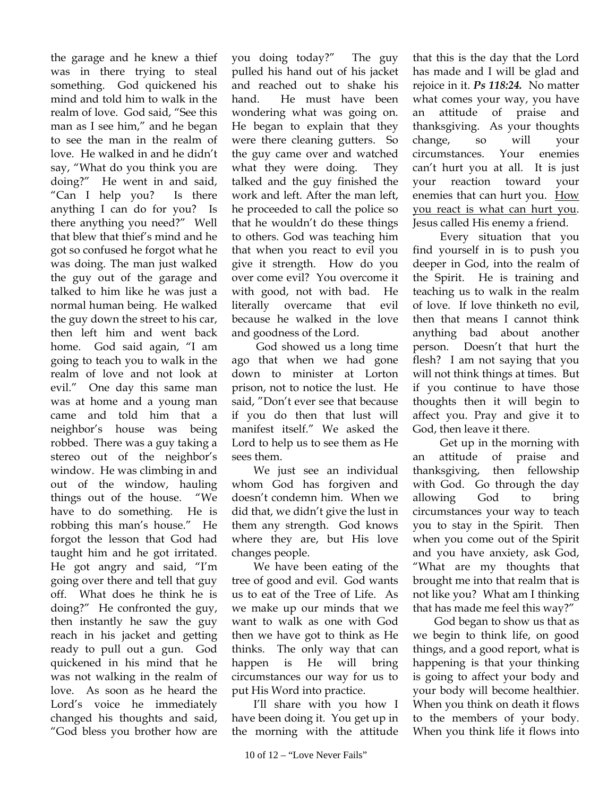the garage and he knew a thief was in there trying to steal something. God quickened his mind and told him to walk in the realm of love. God said, "See this man as I see him," and he began to see the man in the realm of love. He walked in and he didn't say, "What do you think you are doing?" He went in and said, "Can I help you? Is there anything I can do for you? Is there anything you need?" Well that blew that thief's mind and he got so confused he forgot what he was doing. The man just walked the guy out of the garage and talked to him like he was just a normal human being. He walked the guy down the street to his car, then left him and went back home. God said again, "I am going to teach you to walk in the realm of love and not look at evil." One day this same man was at home and a young man came and told him that a neighbor's house was being robbed. There was a guy taking a stereo out of the neighbor's window. He was climbing in and out of the window, hauling things out of the house. "We have to do something. He is robbing this man's house." He forgot the lesson that God had taught him and he got irritated. He got angry and said, "I'm going over there and tell that guy off. What does he think he is doing?" He confronted the guy, then instantly he saw the guy reach in his jacket and getting ready to pull out a gun. God quickened in his mind that he was not walking in the realm of love. As soon as he heard the Lord's voice he immediately changed his thoughts and said, "God bless you brother how are

you doing today?" The guy pulled his hand out of his jacket and reached out to shake his hand. He must have been wondering what was going on. He began to explain that they were there cleaning gutters. So the guy came over and watched what they were doing. They talked and the guy finished the work and left. After the man left, he proceeded to call the police so that he wouldn't do these things to others. God was teaching him that when you react to evil you give it strength. How do you over come evil? You overcome it with good, not with bad. He literally overcame that evil because he walked in the love and goodness of the Lord.

 God showed us a long time ago that when we had gone down to minister at Lorton prison, not to notice the lust. He said, "Don't ever see that because if you do then that lust will manifest itself." We asked the Lord to help us to see them as He sees them.

We just see an individual whom God has forgiven and doesn't condemn him. When we did that, we didn't give the lust in them any strength. God knows where they are, but His love changes people.

We have been eating of the tree of good and evil. God wants us to eat of the Tree of Life. As we make up our minds that we want to walk as one with God then we have got to think as He thinks. The only way that can happen is He will bring circumstances our way for us to put His Word into practice.

I'll share with you how I have been doing it. You get up in the morning with the attitude

that this is the day that the Lord has made and I will be glad and rejoice in it. *Ps 118:24.* No matter what comes your way, you have an attitude of praise and thanksgiving. As your thoughts change, so will your circumstances. Your enemies can't hurt you at all. It is just your reaction toward your enemies that can hurt you. How you react is what can hurt you. Jesus called His enemy a friend.

 Every situation that you find yourself in is to push you deeper in God, into the realm of the Spirit. He is training and teaching us to walk in the realm of love. If love thinketh no evil, then that means I cannot think anything bad about another person. Doesn't that hurt the flesh? I am not saying that you will not think things at times. But if you continue to have those thoughts then it will begin to affect you. Pray and give it to God, then leave it there.

 Get up in the morning with an attitude of praise and thanksgiving, then fellowship with God. Go through the day allowing God to bring circumstances your way to teach you to stay in the Spirit. Then when you come out of the Spirit and you have anxiety, ask God, "What are my thoughts that brought me into that realm that is not like you? What am I thinking that has made me feel this way?"

God began to show us that as we begin to think life, on good things, and a good report, what is happening is that your thinking is going to affect your body and your body will become healthier. When you think on death it flows to the members of your body. When you think life it flows into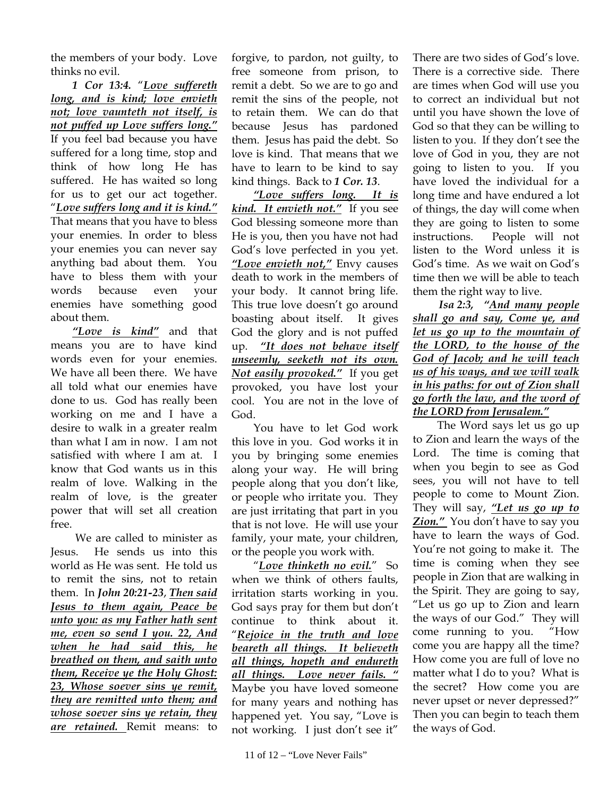the members of your body. Love thinks no evil.

*1 Cor 13:4.* "*Love suffereth long, and is kind; love envieth not; love vaunteth not itself, is not puffed up Love suffers long."* If you feel bad because you have suffered for a long time, stop and think of how long He has suffered. He has waited so long for us to get our act together. "*Love suffers long and it is kind."* That means that you have to bless your enemies. In order to bless your enemies you can never say anything bad about them. You have to bless them with your words because even your enemies have something good about them.

*"Love is kind"* and that means you are to have kind words even for your enemies. We have all been there. We have all told what our enemies have done to us. God has really been working on me and I have a desire to walk in a greater realm than what I am in now. I am not satisfied with where I am at. I know that God wants us in this realm of love. Walking in the realm of love, is the greater power that will set all creation free.

 We are called to minister as Jesus. He sends us into this world as He was sent. He told us to remit the sins, not to retain them. In *John 20:21-23*, *Then said Jesus to them again, Peace be unto you: as my Father hath sent me, even so send I you. 22, And when he had said this, he breathed on them, and saith unto them, Receive ye the Holy Ghost: 23, Whose soever sins ye remit, they are remitted unto them; and whose soever sins ye retain, they are retained.* Remit means: to

forgive, to pardon, not guilty, to free someone from prison, to remit a debt. So we are to go and remit the sins of the people, not to retain them. We can do that because Jesus has pardoned them. Jesus has paid the debt. So love is kind. That means that we have to learn to be kind to say kind things. Back to *1 Cor. 13*.

*"Love suffers long. It is kind. It envieth not."* If you see God blessing someone more than He is you, then you have not had God's love perfected in you yet. *"Love envieth not,"* Envy causes death to work in the members of your body. It cannot bring life. This true love doesn't go around boasting about itself. It gives God the glory and is not puffed up. *"It does not behave itself unseemly, seeketh not its own. Not easily provoked."* If you get provoked, you have lost your cool. You are not in the love of God.

You have to let God work this love in you. God works it in you by bringing some enemies along your way. He will bring people along that you don't like, or people who irritate you. They are just irritating that part in you that is not love. He will use your family, your mate, your children, or the people you work with.

"*Love thinketh no evil.*" So when we think of others faults, irritation starts working in you. God says pray for them but don't continue to think about it. "*Rejoice in the truth and love beareth all things. It believeth all things, hopeth and endureth all things. Love never fails. "* Maybe you have loved someone for many years and nothing has happened yet. You say, "Love is not working. I just don't see it"

There are two sides of God's love. There is a corrective side. There are times when God will use you to correct an individual but not until you have shown the love of God so that they can be willing to listen to you. If they don't see the love of God in you, they are not going to listen to you. If you have loved the individual for a long time and have endured a lot of things, the day will come when they are going to listen to some instructions. People will not listen to the Word unless it is God's time. As we wait on God's time then we will be able to teach them the right way to live.

*Isa 2:3, "And many people shall go and say, Come ye, and let us go up to the mountain of the LORD, to the house of the God of Jacob; and he will teach us of his ways, and we will walk in his paths: for out of Zion shall go forth the law, and the word of the LORD from Jerusalem."*

 The Word says let us go up to Zion and learn the ways of the Lord. The time is coming that when you begin to see as God sees, you will not have to tell people to come to Mount Zion. They will say, *"Let us go up to Zion."* You don't have to say you have to learn the ways of God. You're not going to make it. The time is coming when they see people in Zion that are walking in the Spirit. They are going to say, "Let us go up to Zion and learn the ways of our God." They will come running to you. "How come you are happy all the time? How come you are full of love no matter what I do to you? What is the secret? How come you are never upset or never depressed?" Then you can begin to teach them the ways of God.